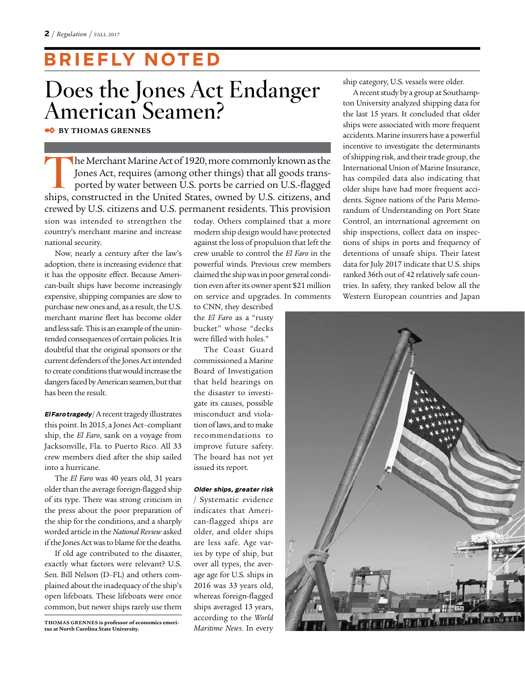### **B R I E F LY N OT E D**

### **Does the Jones Act Endanger American Seamen?**

✒ **BY THOMAS GRENNES**

**T**he Merchant Marine Act of 1920, more commonly known as the Jones Act, requires (among other things) that all goods transported by water between U.S. ports be carried on U.S.-flagged ships, constructed in the United States, owned by U.S. citizens, and crewed by U.S. citizens and U.S. permanent residents. This provision sion was intended to strengthen the country's merchant marine and increase national security.

Now, nearly a century after the law's adoption, there is increasing evidence that it has the opposite effect. Because American-built ships have become increasingly expensive, shipping companies are slow to purchase new ones and, as a result, the U.S. merchant marine fleet has become older and less safe. This is an example of the unintended consequences of certain policies. It is doubtful that the original sponsors or the current defenders of the Jones Act intended to create conditions that would increase the dangers faced by American seamen, but that has been the result.

**El Faro tragedy** / A recent tragedy illustrates this point. In 2015, a Jones Act–compliant ship, the *El Faro*, sank on a voyage from Jacksonville, Fla. to Puerto Rico. All 33 crew members died after the ship sailed into a hurricane.

The *El Faro* was 40 years old, 31 years older than the average foreign-flagged ship of its type. There was strong criticism in the press about the poor preparation of the ship for the conditions, and a sharply worded article in the *National Review* asked if the Jones Act was to blame for the deaths.

If old age contributed to the disaster, exactly what factors were relevant? U.S. Sen. Bill Nelson (D–FL) and others complained about the inadequacy of the ship's open lifeboats. These lifeboats were once common, but newer ships rarely use them today. Others complained that a more modern ship design would have protected against the loss of propulsion that left the crew unable to control the *El Faro* in the powerful winds. Previous crew members claimed the ship was in poor general condition even after its owner spent \$21 million on service and upgrades. In comments

to CNN, they described the *El Faro* as a "rusty bucket" whose "decks were filled with holes."

The Coast Guard commissioned a Marine Board of Investigation that held hearings on the disaster to investigate its causes, possible misconduct and violation of laws, and to make recommendations to improve future safety. The board has not yet issued its report.

### **Older ships, greater risk**

/ Systematic evidence indicates that American-flagged ships are older, and older ships are less safe. Age varies by type of ship, but over all types, the average age for U.S. ships in 2016 was 33 years old, whereas foreign-flagged ships averaged 13 years, according to the *World Maritime News*. In every

ship category, U.S. vessels were older.

A recent study by a group at Southampton University analyzed shipping data for the last 15 years. It concluded that older ships were associated with more frequent accidents. Marine insurers have a powerful incentive to investigate the determinants of shipping risk, and their trade group, the International Union of Marine Insurance, has compiled data also indicating that older ships have had more frequent accidents. Signee nations of the Paris Memorandum of Understanding on Port State Control, an international agreement on ship inspections, collect data on inspections of ships in ports and frequency of detentions of unsafe ships. Their latest data for July 2017 indicate that U.S. ships ranked 36th out of 42 relatively safe countries. In safety, they ranked below all the Western European countries and Japan



**THOMAS GRENNES is professor of economics emeritus at North Carolina State University.**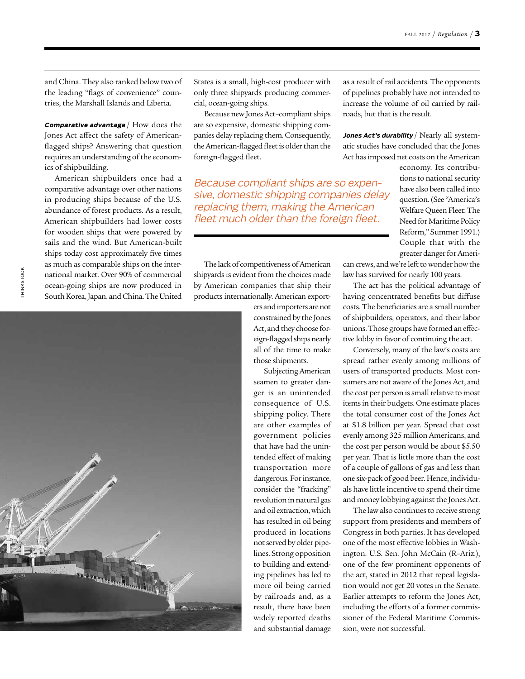and China. They also ranked below two of the leading "flags of convenience" countries, the Marshall Islands and Liberia.

**Comparative advantage** / How does the Jones Act affect the safety of Americanflagged ships? Answering that question requires an understanding of the economics of shipbuilding.

American shipbuilders once had a comparative advantage over other nations in producing ships because of the U.S. abundance of forest products. As a result, American shipbuilders had lower costs for wooden ships that were powered by sails and the wind. But American-built ships today cost approximately five times as much as comparable ships on the international market. Over 90% of commercial ocean-going ships are now produced in South Korea, Japan, and China. The United



States is a small, high-cost producer with only three shipyards producing commercial, ocean-going ships.

Because new Jones Act–compliant ships are so expensive, domestic shipping companies delay replacing them. Consequently, the American-flagged fleet is older than the foreign-flagged fleet.

Because compliant ships are so expensive, domestic shipping companies delay replacing them, making the American fleet much older than the foreign fleet.

The lack of competitiveness of American shipyards is evident from the choices made by American companies that ship their products internationally. American export-

ers and importers are not constrained by the Jones Act, and they choose foreign-flagged ships nearly all of the time to make those shipments.

Subjecting American seamen to greater danger is an unintended consequence of U.S. shipping policy. There are other examples of government policies that have had the unintended effect of making transportation more dangerous. For instance, consider the "fracking" revolution in natural gas and oil extraction, which has resulted in oil being produced in locations not served by older pipelines. Strong opposition to building and extending pipelines has led to more oil being carried by railroads and, as a result, there have been widely reported deaths and substantial damage

as a result of rail accidents. The opponents of pipelines probably have not intended to increase the volume of oil carried by railroads, but that is the result.

Jones Act's durability / Nearly all systematic studies have concluded that the Jones Act has imposed net costs on the American

> economy. Its contributions to national security have also been called into question. (See "America's Welfare Queen Fleet: The Need for Maritime Policy Reform," Summer 1991.) Couple that with the greater danger for Ameri-

can crews, and we're left to wonder how the law has survived for nearly 100 years.

The act has the political advantage of having concentrated benefits but diffuse costs. The beneficiaries are a small number of shipbuilders, operators, and their labor unions. Those groups have formed an effective lobby in favor of continuing the act.

Conversely, many of the law's costs are spread rather evenly among millions of users of transported products. Most consumers are not aware of the Jones Act, and the cost per person is small relative to most items in their budgets. One estimate places the total consumer cost of the Jones Act at \$1.8 billion per year. Spread that cost evenly among 325 million Americans, and the cost per person would be about \$5.50 per year. That is little more than the cost of a couple of gallons of gas and less than one six-pack of good beer. Hence, individuals have little incentive to spend their time and money lobbying against the Jones Act.

The law also continues to receive strong support from presidents and members of Congress in both parties. It has developed one of the most effective lobbies in Washington. U.S. Sen. John McCain (R–Ariz.), one of the few prominent opponents of the act, stated in 2012 that repeal legislation would not get 20 votes in the Senate. Earlier attempts to reform the Jones Act, including the efforts of a former commissioner of the Federal Maritime Commission, were not successful.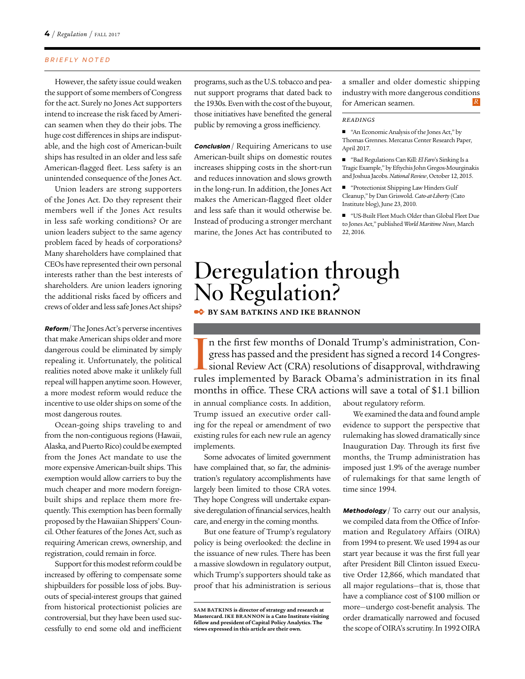However, the safety issue could weaken the support of some members of Congress for the act. Surely no Jones Act supporters intend to increase the risk faced by American seamen when they do their jobs. The huge cost differences in ships are indisputable, and the high cost of American-built ships has resulted in an older and less safe American-flagged fleet. Less safety is an unintended consequence of the Jones Act.

Union leaders are strong supporters of the Jones Act. Do they represent their members well if the Jones Act results in less safe working conditions? Or are union leaders subject to the same agency problem faced by heads of corporations? Many shareholders have complained that CEOs have represented their own personal interests rather than the best interests of shareholders. Are union leaders ignoring the additional risks faced by officers and crews of older and less safe Jones Act ships?

**Reform** / The Jones Act's perverse incentives that make American ships older and more dangerous could be eliminated by simply repealing it. Unfortunately, the political realities noted above make it unlikely full repeal will happen anytime soon. However, a more modest reform would reduce the incentive to use older ships on some of the most dangerous routes.

Ocean-going ships traveling to and from the non-contiguous regions (Hawaii, Alaska, and Puerto Rico) could be exempted from the Jones Act mandate to use the more expensive American-built ships. This exemption would allow carriers to buy the much cheaper and more modern foreignbuilt ships and replace them more frequently. This exemption has been formally proposed by the Hawaiian Shippers' Council. Other features of the Jones Act, such as requiring American crews, ownership, and registration, could remain in force.

Support for this modest reform could be increased by offering to compensate some shipbuilders for possible loss of jobs. Buyouts of special-interest groups that gained from historical protectionist policies are controversial, but they have been used successfully to end some old and inefficient

programs, such as the U.S. tobacco and peanut support programs that dated back to the 1930s. Even with the cost of the buyout, those initiatives have benefited the general public by removing a gross inefficiency.

**Conclusion** / Requiring Americans to use American-built ships on domestic routes increases shipping costs in the short-run and reduces innovation and slows growth in the long-run. In addition, the Jones Act makes the American-flagged fleet older and less safe than it would otherwise be. Instead of producing a stronger merchant marine, the Jones Act has contributed to

a smaller and older domestic shipping industry with more dangerous conditions for American seamen. *R*

#### *READINGS*

■ "An Economic Analysis of the Jones Act," by Thomas Grennes. Mercatus Center Research Paper, April 2017.

■ "Bad Regulations Can Kill: *El Faro*'s Sinking Is a Tragic Example," by Eftychis John Gregos-Mourginakis and Joshua Jacobs. *National Review*, October 12, 2015.

■ "Protectionist Shipping Law Hinders Gulf Cleanup," by Dan Griswold. *Cato-at-Liberty* (Cato Institute blog), June 23, 2010.

■ "US-Built Fleet Much Older than Global Fleet Due to Jones Act," published *World Maritime News*, March 22, 2016.

# **Deregulation through No Regulation?**

### **• BY SAM BATKINS AND IKE BRANNON**

In the first few months of Donald Trump's administration, Congress has passed and the president has signed a record 14 Congressional Review Act (CRA) resolutions of disapproval, withdrawing rules implemented by Barack Obam n the first few months of Donald Trump's administration, Congress has passed and the president has signed a record 14 Congressional Review Act (CRA) resolutions of disapproval, withdrawing months in office. These CRA actions will save a total of \$1.1 billion

in annual compliance costs. In addition, Trump issued an executive order calling for the repeal or amendment of two existing rules for each new rule an agency implements.

Some advocates of limited government have complained that, so far, the administration's regulatory accomplishments have largely been limited to those CRA votes. They hope Congress will undertake expansive deregulation of financial services, health care, and energy in the coming months.

But one feature of Trump's regulatory policy is being overlooked: the decline in the issuance of new rules. There has been a massive slowdown in regulatory output, which Trump's supporters should take as proof that his administration is serious about regulatory reform.

We examined the data and found ample evidence to support the perspective that rulemaking has slowed dramatically since Inauguration Day. Through its first five months, the Trump administration has imposed just 1.9% of the average number of rulemakings for that same length of time since 1994.

**Methodology** / To carry out our analysis, we compiled data from the Office of Information and Regulatory Affairs (OIRA) from 1994 to present. We used 1994 as our start year because it was the first full year after President Bill Clinton issued Executive Order 12,866, which mandated that all major regulations—that is, those that have a compliance cost of \$100 million or more—undergo cost-benefit analysis. The order dramatically narrowed and focused the scope of OIRA's scrutiny. In 1992 OIRA

**SAM BATKINS is director of strategy and research at Mastercard. IKE BRANNON is a Cato Institute visiting fellow and president of Capital Policy Analytics. The views expressed in this article are their own.**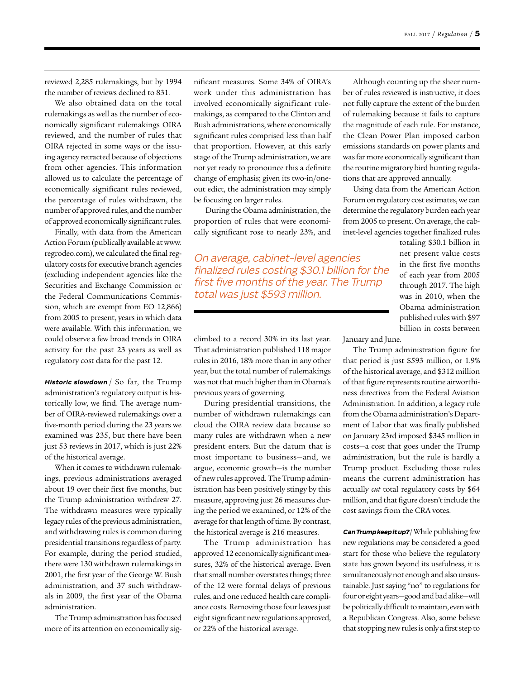reviewed 2,285 rulemakings, but by 1994 the number of reviews declined to 831.

We also obtained data on the total rulemakings as well as the number of economically significant rulemakings OIRA reviewed, and the number of rules that OIRA rejected in some ways or the issuing agency retracted because of objections from other agencies. This information allowed us to calculate the percentage of economically significant rules reviewed, the percentage of rules withdrawn, the number of approved rules, and the number of approved economically significant rules.

Finally, with data from the American Action Forum (publically available at www. regrodeo.com), we calculated the final regulatory costs for executive branch agencies (excluding independent agencies like the Securities and Exchange Commission or the Federal Communications Commission, which are exempt from EO 12,866) from 2005 to present, years in which data were available. With this information, we could observe a few broad trends in OIRA activity for the past 23 years as well as regulatory cost data for the past 12.

**Historic slowdown** / So far, the Trump administration's regulatory output is historically low, we find. The average number of OIRA-reviewed rulemakings over a five-month period during the 23 years we examined was 235, but there have been just 53 reviews in 2017, which is just 22% of the historical average.

When it comes to withdrawn rulemakings, previous administrations averaged about 19 over their first five months, but the Trump administration withdrew 27. The withdrawn measures were typically legacy rules of the previous administration, and withdrawing rules is common during presidential transitions regardless of party. For example, during the period studied, there were 130 withdrawn rulemakings in 2001, the first year of the George W. Bush administration, and 37 such withdrawals in 2009, the first year of the Obama administration.

The Trump administration has focused more of its attention on economically sig-

nificant measures. Some 34% of OIRA's work under this administration has involved economically significant rulemakings, as compared to the Clinton and Bush administrations, where economically significant rules comprised less than half that proportion. However, at this early stage of the Trump administration, we are not yet ready to pronounce this a definite change of emphasis; given its two-in/oneout edict, the administration may simply be focusing on larger rules.

 During the Obama administration, the proportion of rules that were economically significant rose to nearly 23%, and

On average, cabinet-level agencies finalized rules costing \$30.1 billion for the first five months of the year. The Trump total was just \$593 million.

climbed to a record 30% in its last year. That administration published 118 major rules in 2016, 18% more than in any other year, but the total number of rulemakings was not that much higher than in Obama's previous years of governing.

During presidential transitions, the number of withdrawn rulemakings can cloud the OIRA review data because so many rules are withdrawn when a new president enters. But the datum that is most important to business—and, we argue, economic growth—is the number of new rules approved. The Trump administration has been positively stingy by this measure, approving just 26 measures during the period we examined, or 12% of the average for that length of time. By contrast, the historical average is 216 measures.

The Trump administration has approved 12 economically significant measures, 32% of the historical average. Even that small number overstates things; three of the 12 were formal delays of previous rules, and one reduced health care compliance costs. Removing those four leaves just eight significant new regulations approved, or 22% of the historical average.

Although counting up the sheer number of rules reviewed is instructive, it does not fully capture the extent of the burden of rulemaking because it fails to capture the magnitude of each rule. For instance, the Clean Power Plan imposed carbon emissions standards on power plants and was far more economically significant than the routine migratory bird hunting regulations that are approved annually.

Using data from the American Action Forum on regulatory cost estimates, we can determine the regulatory burden each year from 2005 to present. On average, the cabinet-level agencies together finalized rules

> totaling \$30.1 billion in net present value costs in the first five months of each year from 2005 through 2017. The high was in 2010, when the Obama administration published rules with \$97 billion in costs between

January and June.

The Trump administration figure for that period is just \$593 million, or 1.9% of the historical average, and \$312 million of that figure represents routine airworthiness directives from the Federal Aviation Administration. In addition, a legacy rule from the Obama administration's Department of Labor that was finally published on January 23rd imposed \$345 million in costs—a cost that goes under the Trump administration, but the rule is hardly a Trump product. Excluding those rules means the current administration has actually *cut* total regulatory costs by \$64 million, and that figure doesn't include the cost savings from the CRA votes.

**Can Trump keep it up?** / While publishing few new regulations may be considered a good start for those who believe the regulatory state has grown beyond its usefulness, it is simultaneously not enough and also unsustainable. Just saying "no" to regulations for four or eight years—good and bad alike—will be politically difficult to maintain, even with a Republican Congress. Also, some believe that stopping new rules is only a first step to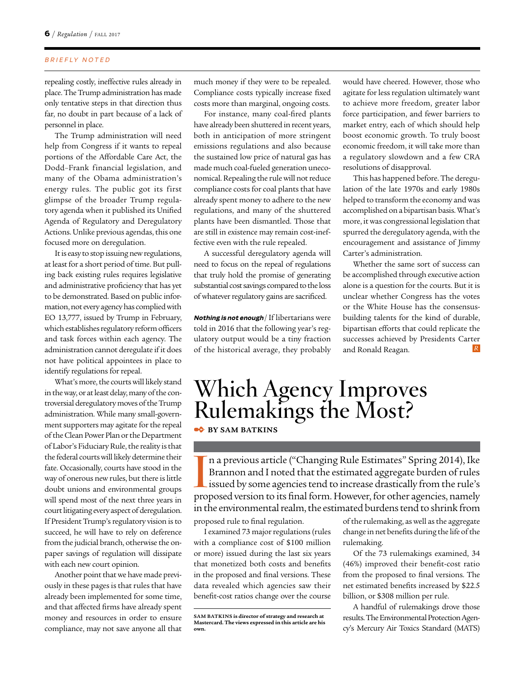repealing costly, ineffective rules already in place. The Trump administration has made only tentative steps in that direction thus far, no doubt in part because of a lack of personnel in place.

The Trump administration will need help from Congress if it wants to repeal portions of the Affordable Care Act, the Dodd–Frank financial legislation, and many of the Obama administration's energy rules. The public got its first glimpse of the broader Trump regulatory agenda when it published its Unified Agenda of Regulatory and Deregulatory Actions. Unlike previous agendas, this one focused more on deregulation.

It is easy to stop issuing new regulations, at least for a short period of time. But pulling back existing rules requires legislative and administrative proficiency that has yet to be demonstrated. Based on public information, not every agency has complied with EO 13,777, issued by Trump in February, which establishes regulatory reform officers and task forces within each agency. The administration cannot deregulate if it does not have political appointees in place to identify regulations for repeal.

What's more, the courts will likely stand in the way, or at least delay, many of the controversial deregulatory moves of the Trump administration. While many small-government supporters may agitate for the repeal of the Clean Power Plan or the Department of Labor's Fiduciary Rule, the reality is that the federal courts will likely determine their fate. Occasionally, courts have stood in the way of onerous new rules, but there is little doubt unions and environmental groups will spend most of the next three years in court litigating every aspect of deregulation. If President Trump's regulatory vision is to succeed, he will have to rely on deference from the judicial branch, otherwise the onpaper savings of regulation will dissipate with each new court opinion.

Another point that we have made previously in these pages is that rules that have already been implemented for some time, and that affected firms have already spent money and resources in order to ensure compliance, may not save anyone all that

much money if they were to be repealed. Compliance costs typically increase fixed costs more than marginal, ongoing costs.

For instance, many coal-fired plants have already been shuttered in recent years, both in anticipation of more stringent emissions regulations and also because the sustained low price of natural gas has made much coal-fueled generation uneconomical. Repealing the rule will not reduce compliance costs for coal plants that have already spent money to adhere to the new regulations, and many of the shuttered plants have been dismantled. Those that are still in existence may remain cost-ineffective even with the rule repealed.

A successful deregulatory agenda will need to focus on the repeal of regulations that truly hold the promise of generating substantial cost savings compared to the loss of whatever regulatory gains are sacrificed.

**Nothing is not enough** / If libertarians were told in 2016 that the following year's regulatory output would be a tiny fraction of the historical average, they probably would have cheered. However, those who agitate for less regulation ultimately want to achieve more freedom, greater labor force participation, and fewer barriers to market entry, each of which should help boost economic growth. To truly boost economic freedom, it will take more than a regulatory slowdown and a few CRA resolutions of disapproval.

This has happened before. The deregulation of the late 1970s and early 1980s helped to transform the economy and was accomplished on a bipartisan basis. What's more, it was congressional legislation that spurred the deregulatory agenda, with the encouragement and assistance of Jimmy Carter's administration.

Whether the same sort of success can be accomplished through executive action alone is a question for the courts. But it is unclear whether Congress has the votes or the White House has the consensusbuilding talents for the kind of durable, bipartisan efforts that could replicate the successes achieved by Presidents Carter and Ronald Reagan.

## **Which Agency Improves Rulemakings the Most?**

✒ **BY SAM BATKINS**

In a previous article ("Changing Rule Estimates" Spring 2014), Ike Brannon and I noted that the estimated aggregate burden of rules issued by some agencies tend to increase drastically from the rule's proposed version to i n a previous article ("Changing Rule Estimates" Spring 2014), Ike Brannon and I noted that the estimated aggregate burden of rules issued by some agencies tend to increase drastically from the rule's in the environmental realm, the estimated burdens tend to shrink from

proposed rule to final regulation.

I examined 73 major regulations (rules with a compliance cost of \$100 million or more) issued during the last six years that monetized both costs and benefits in the proposed and final versions. These data revealed which agencies saw their benefit-cost ratios change over the course

of the rulemaking, as well as the aggregate change in net benefits during the life of the rulemaking.

Of the 73 rulemakings examined, 34 (46%) improved their benefit-cost ratio from the proposed to final versions. The net estimated benefits increased by \$22.5 billion, or \$308 million per rule.

A handful of rulemakings drove those results. The Environmental Protection Agency's Mercury Air Toxics Standard (MATS)

**SAM BATKINS is director of strategy and research at Mastercard. The views expressed in this article are his own.**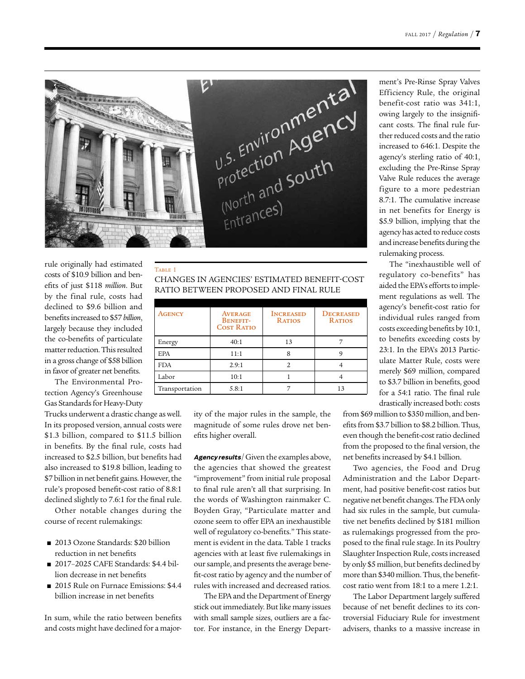

TABLE 1

rule originally had estimated costs of \$10.9 billion and benefits of just \$118 *million*. But by the final rule, costs had declined to \$9.6 billion and benefits increased to \$57 *billion*, largely because they included the co-benefits of particulate matter reduction. This resulted in a gross change of \$58 billion in favor of greater net benefits.

The Environmental Protection Agency's Greenhouse Gas Standards for Heavy-Duty

Trucks underwent a drastic change as well. In its proposed version, annual costs were \$1.3 billion, compared to \$11.5 billion in benefits. By the final rule, costs had increased to \$2.5 billion, but benefits had also increased to \$19.8 billion, leading to \$7 billion in net benefit gains. However, the rule's proposed benefit-cost ratio of 8.8:1 declined slightly to 7.6:1 for the final rule.

Other notable changes during the course of recent rulemakings:

- 2013 Ozone Standards: \$20 billion reduction in net benefits
- 2017–2025 CAFE Standards: \$4.4 billion decrease in net benefits
- 2015 Rule on Furnace Emissions: \$4.4 billion increase in net benefits

In sum, while the ratio between benefits and costs might have declined for a major-

CHANGES IN AGENCIES' ESTIMATED BENEFIT-COST RATIO BETWEEN PROPOSED AND FINAL RULE

| <b>AGENCY</b>  | <b>AVERAGE</b><br><b>BENEFIT-</b><br><b>COST RATIO</b> | <b>INCREASED</b><br><b>RATIOS</b> | <b>DECREASED</b><br><b>RATIOS</b> |
|----------------|--------------------------------------------------------|-----------------------------------|-----------------------------------|
| Energy         | 40:1                                                   | 13                                |                                   |
| <b>EPA</b>     | 11:1                                                   |                                   |                                   |
| <b>FDA</b>     | 2.9:1                                                  |                                   |                                   |
| Labor          | 10:1                                                   |                                   |                                   |
| Transportation | 5.8:1                                                  |                                   |                                   |

ity of the major rules in the sample, the magnitude of some rules drove net benefits higher overall.

Agency results/ Given the examples above, the agencies that showed the greatest "improvement" from initial rule proposal to final rule aren't all that surprising. In the words of Washington rainmaker C. Boyden Gray, "Particulate matter and ozone seem to offer EPA an inexhaustible well of regulatory co-benefits." This statement is evident in the data. Table 1 tracks agencies with at least five rulemakings in our sample, and presents the average benefit-cost ratio by agency and the number of rules with increased and decreased ratios.

The EPA and the Department of Energy stick out immediately. But like many issues with small sample sizes, outliers are a factor. For instance, in the Energy Department's Pre-Rinse Spray Valves Efficiency Rule, the original benefit-cost ratio was 341:1, owing largely to the insignificant costs. The final rule further reduced costs and the ratio increased to 646:1. Despite the agency's sterling ratio of 40:1, excluding the Pre-Rinse Spray Valve Rule reduces the average figure to a more pedestrian 8.7:1. The cumulative increase in net benefits for Energy is \$5.9 billion, implying that the agency has acted to reduce costs and increase benefits during the rulemaking process.

The "inexhaustible well of regulatory co-benefits" has aided the EPA's efforts to implement regulations as well. The agency's benefit-cost ratio for individual rules ranged from costs exceeding benefits by 10:1, to benefits exceeding costs by 23:1. In the EPA's 2013 Particulate Matter Rule, costs were merely \$69 million, compared to \$3.7 billion in benefits, good for a 54:1 ratio. The final rule drastically increased both: costs

from \$69 million to \$350 million, and benefits from \$3.7 billion to \$8.2 billion. Thus, even though the benefit-cost ratio declined from the proposed to the final version, the net benefits increased by \$4.1 billion.

Two agencies, the Food and Drug Administration and the Labor Department, had positive benefit-cost ratios but negative net benefit changes. The FDA only had six rules in the sample, but cumulative net benefits declined by \$181 million as rulemakings progressed from the proposed to the final rule stage. In its Poultry Slaughter Inspection Rule, costs increased by only \$5 million, but benefits declined by more than \$340 million. Thus, the benefitcost ratio went from 18:1 to a mere 1.2:1.

The Labor Department largely suffered because of net benefit declines to its controversial Fiduciary Rule for investment advisers, thanks to a massive increase in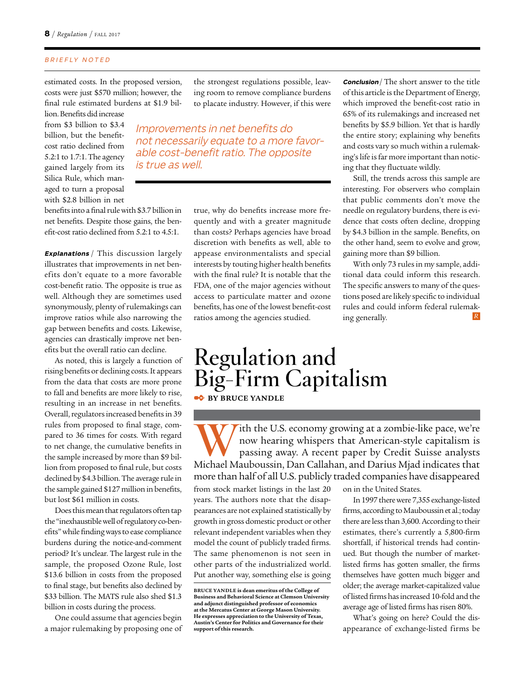estimated costs. In the proposed version, costs were just \$570 million; however, the final rule estimated burdens at \$1.9 billion. Benefits did increase

from \$3 billion to \$3.4 billion, but the benefitcost ratio declined from 5.2:1 to 1.7:1. The agency gained largely from its Silica Rule, which managed to turn a proposal with \$2.8 billion in net the strongest regulations possible, leaving room to remove compliance burdens to placate industry. However, if this were

Improvements in net benefits do not necessarily equate to a more favorable cost-benefit ratio. The opposite is true as well.

benefits into a final rule with \$3.7 billion in net benefits. Despite those gains, the benefit-cost ratio declined from 5.2:1 to 4.5:1.

**Explanations** / This discussion largely illustrates that improvements in net benefits don't equate to a more favorable cost-benefit ratio. The opposite is true as well. Although they are sometimes used synonymously, plenty of rulemakings can improve ratios while also narrowing the gap between benefits and costs. Likewise, agencies can drastically improve net benefits but the overall ratio can decline.

As noted, this is largely a function of rising benefits or declining costs. It appears from the data that costs are more prone to fall and benefits are more likely to rise, resulting in an increase in net benefits. Overall, regulators increased benefits in 39 rules from proposed to final stage, compared to 36 times for costs. With regard to net change, the cumulative benefits in the sample increased by more than \$9 billion from proposed to final rule, but costs declined by \$4.3 billion. The average rule in the sample gained \$127 million in benefits, but lost \$61 million in costs.

Does this mean that regulators often tap the "inexhaustible well of regulatory co-benefits" while finding ways to ease compliance burdens during the notice-and-comment period? It's unclear. The largest rule in the sample, the proposed Ozone Rule, lost \$13.6 billion in costs from the proposed to final stage, but benefits also declined by \$33 billion. The MATS rule also shed \$1.3 billion in costs during the process.

One could assume that agencies begin a major rulemaking by proposing one of

true, why do benefits increase more frequently and with a greater magnitude than costs? Perhaps agencies have broad discretion with benefits as well, able to appease environmentalists and special interests by touting higher health benefits with the final rule? It is notable that the FDA, one of the major agencies without access to particulate matter and ozone benefits, has one of the lowest benefit-cost ratios among the agencies studied.

**Conclusion** / The short answer to the title of this article is the Department of Energy, which improved the benefit-cost ratio in 65% of its rulemakings and increased net benefits by \$5.9 billion. Yet that is hardly the entire story; explaining why benefits and costs vary so much within a rulemaking's life is far more important than noticing that they fluctuate wildly.

Still, the trends across this sample are interesting. For observers who complain that public comments don't move the needle on regulatory burdens, there is evidence that costs often decline, dropping by \$4.3 billion in the sample. Benefits, on the other hand, seem to evolve and grow, gaining more than \$9 billion.

With only 73 rules in my sample, additional data could inform this research. The specific answers to many of the questions posed are likely specific to individual rules and could inform federal rulemaking generally.

### **Regulation and Big-Firm Capitalism • BY BRUCE YANDLE**

With the U.S. economy growing at a zombie-like pace, we're<br>now hearing whispers that American-style capitalism is<br>passing away. A recent paper by Credit Suisse analysts<br>Mishael Mauboussin, Dan Gallahan, and Darius Misd ind now hearing whispers that American-style capitalism is passing away. A recent paper by Credit Suisse analysts Michael Mauboussin, Dan Callahan, and Darius Mjad indicates that more than half of all U.S. publicly traded companies have disappeared

from stock market listings in the last 20 years. The authors note that the disappearances are not explained statistically by growth in gross domestic product or other relevant independent variables when they model the count of publicly traded firms. The same phenomenon is not seen in other parts of the industrialized world. Put another way, something else is going

on in the United States.

In 1997 there were 7,355 exchange-listed firms, according to Mauboussin et al.; today there are less than 3,600. According to their estimates, there's currently a 5,800-firm shortfall, if historical trends had continued. But though the number of marketlisted firms has gotten smaller, the firms themselves have gotten much bigger and older; the average market-capitalized value of listed firms has increased 10-fold and the average age of listed firms has risen 80%.

What's going on here? Could the disappearance of exchange-listed firms be

**BRUCE YANDLE is dean emeritus of the College of Business and Behavioral Science at Clemson University and adjunct distinguished professor of economics at the Mercatus Center at George Mason University. He expresses appreciation to the University of Texas, Austin's Center for Politics and Governance for their support of this research.**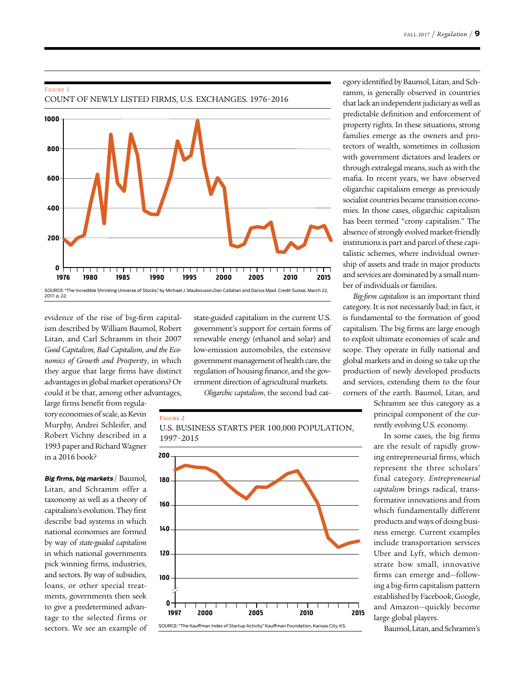#### Figure 1 COUNT OF NEWLY LISTED FIRMS, U.S. EXCHANGES. 1976–2016



evidence of the rise of big-firm capitalism described by William Baumol, Robert Litan, and Carl Schramm in their 2007 *Good Capitalism, Bad Capitalism, and the Economics of Growth and Prosperity*, in which they argue that large firms have distinct advantages in global market operations? Or could it be that, among other advantages,

large firms benefit from regulatory economies of scale, as Kevin Murphy, Andrei Schleifer, and Robert Vichny described in a 1993 paper and Richard Wagner in a 2016 book?

**Big firms, big markets** / Baumol, Litan, and Schramm offer a taxonomy as well as a theory of capitalism's evolution. They first describe bad systems in which national economies are formed by way of *state-guided capitalism* in which national governments pick winning firms, industries, and sectors. By way of subsidies, loans, or other special treatments, governments then seek to give a predetermined advantage to the selected firms or sectors. We see an example of

state-guided capitalism in the current U.S. government's support for certain forms of renewable energy (ethanol and solar) and low-emission automobiles, the extensive government management of health care, the regulation of housing finance, and the government direction of agricultural markets.

*Oligarchic capitalism*, the second bad cat-

U.S. BUSINESS STARTS PER 100,000 POPULATION,

#### Figure 2



egory identified by Baumol, Litan, and Schramm, is generally observed in countries that lack an independent judiciary as well as predictable definition and enforcement of property rights. In these situations, strong families emerge as the owners and protectors of wealth, sometimes in collusion with government dictators and leaders or through extralegal means, such as with the mafia. In recent years, we have observed oligarchic capitalism emerge as previously socialist countries became transition economies. In those cases, oligarchic capitalism has been termed "crony capitalism." The absence of strongly evolved market-friendly institutions is part and parcel of these capitalistic schemes, where individual ownership of assets and trade in major products and services are dominated by a small number of individuals or families.

*Big-firm capitalism* is an important third category. It is not necessarily bad; in fact, it is fundamental to the formation of good capitalism. The big firms are large enough to exploit ultimate economies of scale and scope. They operate in fully national and global markets and in doing so take up the production of newly developed products and services, extending them to the four corners of the earth. Baumol, Litan, and

> Schramm see this category as a principal component of the currently evolving U.S. economy.

> In some cases, the big firms are the result of rapidly growing entrepreneurial firms, which represent the three scholars' final category. *Entrepreneurial capitalism* brings radical, transformative innovations and from which fundamentally different products and ways of doing business emerge. Current examples include transportation services Uber and Lyft, which demonstrate how small, innovative firms can emerge and—following a big-firm capitalism pattern established by Facebook, Google, and Amazon—quickly become large global players.

Baumol, Litan, and Schramm's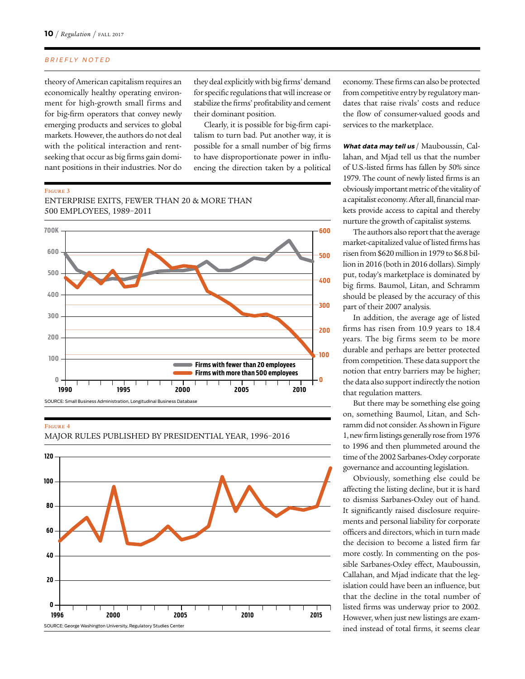theory of American capitalism requires an economically healthy operating environment for high-growth small firms and for big-firm operators that convey newly emerging products and services to global markets. However, the authors do not deal with the political interaction and rentseeking that occur as big firms gain dominant positions in their industries. Nor do they deal explicitly with big firms' demand for specific regulations that will increase or stabilize the firms' profitability and cement their dominant position.

Clearly, it is possible for big-firm capitalism to turn bad. Put another way, it is possible for a small number of big firms to have disproportionate power in influencing the direction taken by a political

Figure 3 ENTERPRISE EXITS, FEWER THAN 20 & MORE THAN 500 EMPLOYEES, 1989–2011



### Figure 4

MAJOR RULES PUBLISHED BY PRESIDENTIAL YEAR, 1996–2016



economy. These firms can also be protected from competitive entry by regulatory mandates that raise rivals' costs and reduce the flow of consumer-valued goods and services to the marketplace.

**What data may tell us** / Mauboussin, Callahan, and Mjad tell us that the number of U.S.-listed firms has fallen by 50% since 1979. The count of newly listed firms is an obviously important metric of the vitality of a capitalist economy. After all, financial markets provide access to capital and thereby nurture the growth of capitalist systems.

The authors also report that the average market-capitalized value of listed firms has risen from \$620 million in 1979 to \$6.8 billion in 2016 (both in 2016 dollars). Simply put, today's marketplace is dominated by big firms. Baumol, Litan, and Schramm should be pleased by the accuracy of this part of their 2007 analysis.

In addition, the average age of listed firms has risen from 10.9 years to 18.4 years. The big firms seem to be more durable and perhaps are better protected from competition. These data support the notion that entry barriers may be higher; the data also support indirectly the notion that regulation matters.

But there may be something else going on, something Baumol, Litan, and Schramm did not consider. As shown in Figure 1, new firm listings generally rose from 1976 to 1996 and then plummeted around the time of the 2002 Sarbanes-Oxley corporate governance and accounting legislation.

Obviously, something else could be affecting the listing decline, but it is hard to dismiss Sarbanes-Oxley out of hand. It significantly raised disclosure requirements and personal liability for corporate officers and directors, which in turn made the decision to become a listed firm far more costly. In commenting on the possible Sarbanes-Oxley effect, Mauboussin, Callahan, and Mjad indicate that the legislation could have been an influence, but that the decline in the total number of listed firms was underway prior to 2002. However, when just new listings are examined instead of total firms, it seems clear